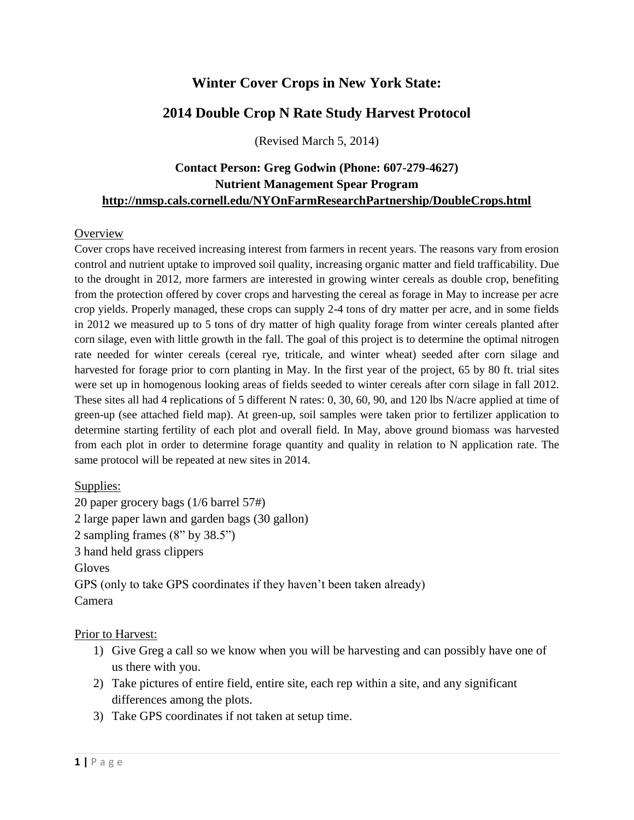## **Winter Cover Crops in New York State:**

### **2014 Double Crop N Rate Study Harvest Protocol**

(Revised March 5, 2014)

### **Contact Person: Greg Godwin (Phone: 607-279-4627) Nutrient Management Spear Program http://nmsp.cals.cornell.edu/NYOnFarmResearchPartnership/DoubleCrops.html**

#### **Overview**

Cover crops have received increasing interest from farmers in recent years. The reasons vary from erosion control and nutrient uptake to improved soil quality, increasing organic matter and field trafficability. Due to the drought in 2012, more farmers are interested in growing winter cereals as double crop, benefiting from the protection offered by cover crops and harvesting the cereal as forage in May to increase per acre crop yields. Properly managed, these crops can supply 2-4 tons of dry matter per acre, and in some fields in 2012 we measured up to 5 tons of dry matter of high quality forage from winter cereals planted after corn silage, even with little growth in the fall. The goal of this project is to determine the optimal nitrogen rate needed for winter cereals (cereal rye, triticale, and winter wheat) seeded after corn silage and harvested for forage prior to corn planting in May. In the first year of the project, 65 by 80 ft. trial sites were set up in homogenous looking areas of fields seeded to winter cereals after corn silage in fall 2012. These sites all had 4 replications of 5 different N rates: 0, 30, 60, 90, and 120 lbs N/acre applied at time of green-up (see attached field map). At green-up, soil samples were taken prior to fertilizer application to determine starting fertility of each plot and overall field. In May, above ground biomass was harvested from each plot in order to determine forage quantity and quality in relation to N application rate. The same protocol will be repeated at new sites in 2014.

### Supplies:

20 paper grocery bags (1/6 barrel 57#) 2 large paper lawn and garden bags (30 gallon) 2 sampling frames (8" by 38.5") 3 hand held grass clippers Gloves GPS (only to take GPS coordinates if they haven't been taken already) Camera

#### Prior to Harvest:

- 1) Give Greg a call so we know when you will be harvesting and can possibly have one of us there with you.
- 2) Take pictures of entire field, entire site, each rep within a site, and any significant differences among the plots.
- 3) Take GPS coordinates if not taken at setup time.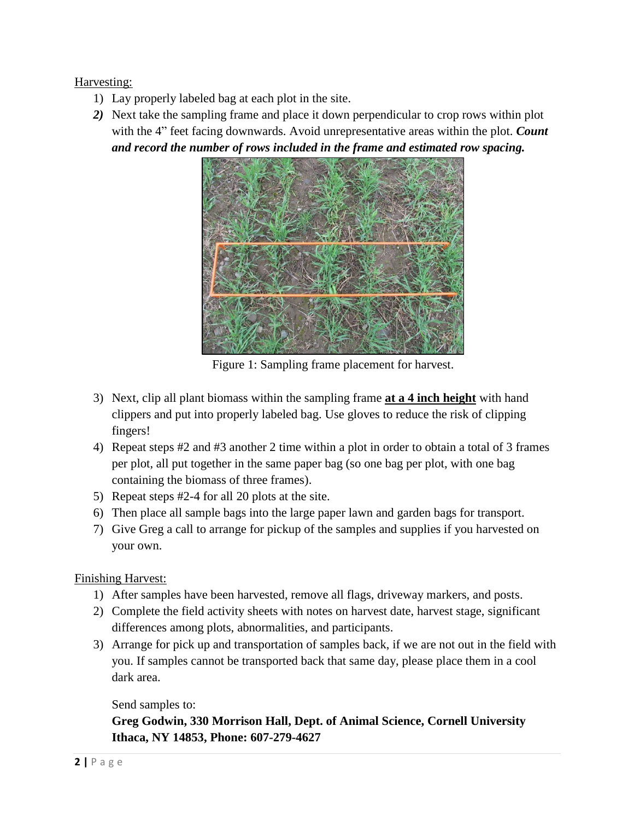### Harvesting:

- 1) Lay properly labeled bag at each plot in the site.
- *2)* Next take the sampling frame and place it down perpendicular to crop rows within plot with the 4" feet facing downwards. Avoid unrepresentative areas within the plot. *Count and record the number of rows included in the frame and estimated row spacing.*



Figure 1: Sampling frame placement for harvest.

- 3) Next, clip all plant biomass within the sampling frame **at a 4 inch height** with hand clippers and put into properly labeled bag. Use gloves to reduce the risk of clipping fingers!
- 4) Repeat steps #2 and #3 another 2 time within a plot in order to obtain a total of 3 frames per plot, all put together in the same paper bag (so one bag per plot, with one bag containing the biomass of three frames).
- 5) Repeat steps #2-4 for all 20 plots at the site.
- 6) Then place all sample bags into the large paper lawn and garden bags for transport.
- 7) Give Greg a call to arrange for pickup of the samples and supplies if you harvested on your own.

### Finishing Harvest:

- 1) After samples have been harvested, remove all flags, driveway markers, and posts.
- 2) Complete the field activity sheets with notes on harvest date, harvest stage, significant differences among plots, abnormalities, and participants.
- 3) Arrange for pick up and transportation of samples back, if we are not out in the field with you. If samples cannot be transported back that same day, please place them in a cool dark area.

### Send samples to:

**Greg Godwin, 330 Morrison Hall, Dept. of Animal Science, Cornell University Ithaca, NY 14853, Phone: 607-279-4627**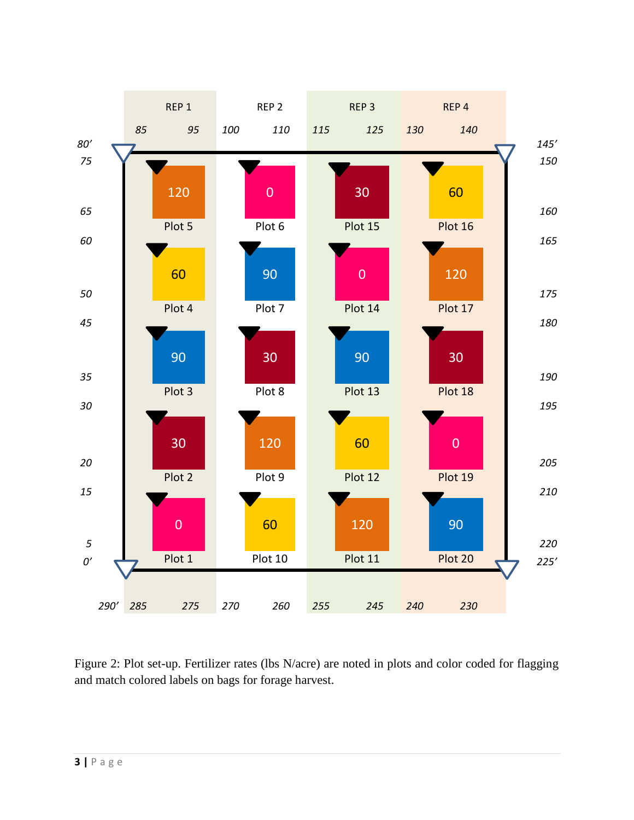

Figure 2: Plot set-up. Fertilizer rates (lbs N/acre) are noted in plots and color coded for flagging and match colored labels on bags for forage harvest.